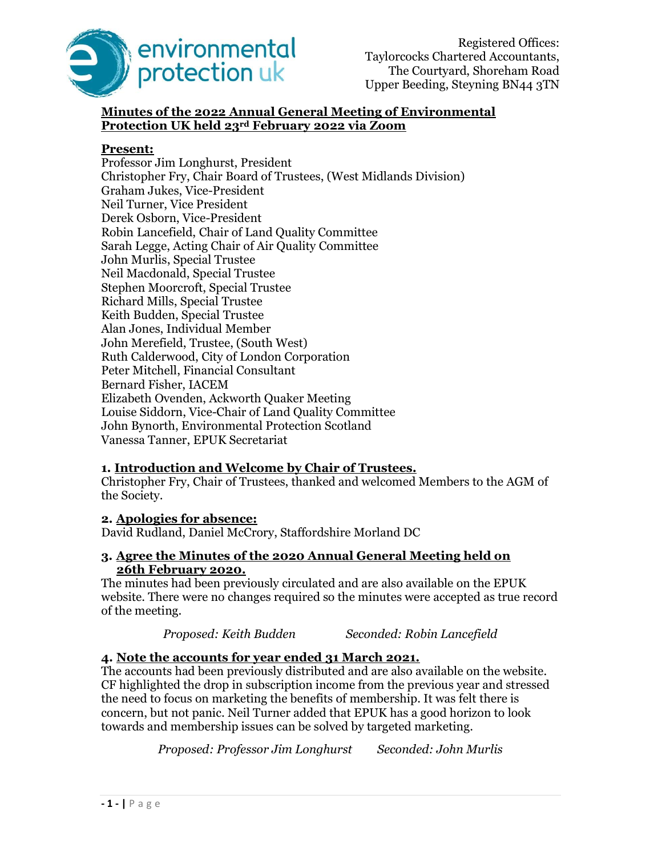

# Minutes of the 2022 Annual General Meeting of Environmental Protection UK held 23rd February 2022 via Zoom

## Present:

Professor Jim Longhurst, President Christopher Fry, Chair Board of Trustees, (West Midlands Division) Graham Jukes, Vice-President Neil Turner, Vice President Derek Osborn, Vice-President Robin Lancefield, Chair of Land Quality Committee Sarah Legge, Acting Chair of Air Quality Committee John Murlis, Special Trustee Neil Macdonald, Special Trustee Stephen Moorcroft, Special Trustee Richard Mills, Special Trustee Keith Budden, Special Trustee Alan Jones, Individual Member John Merefield, Trustee, (South West) Ruth Calderwood, City of London Corporation Peter Mitchell, Financial Consultant Bernard Fisher, IACEM Elizabeth Ovenden, Ackworth Quaker Meeting Louise Siddorn, Vice-Chair of Land Quality Committee John Bynorth, Environmental Protection Scotland Vanessa Tanner, EPUK Secretariat

# 1. Introduction and Welcome by Chair of Trustees.

Christopher Fry, Chair of Trustees, thanked and welcomed Members to the AGM of the Society.

## 2. Apologies for absence:

David Rudland, Daniel McCrory, Staffordshire Morland DC

## 3. Agree the Minutes of the 2020 Annual General Meeting held on 26th February 2020.

The minutes had been previously circulated and are also available on the EPUK website. There were no changes required so the minutes were accepted as true record of the meeting.

Proposed: Keith Budden Seconded: Robin Lancefield

# 4. Note the accounts for year ended 31 March 2021.

The accounts had been previously distributed and are also available on the website. CF highlighted the drop in subscription income from the previous year and stressed the need to focus on marketing the benefits of membership. It was felt there is concern, but not panic. Neil Turner added that EPUK has a good horizon to look towards and membership issues can be solved by targeted marketing.

Proposed: Professor Jim Longhurst Seconded: John Murlis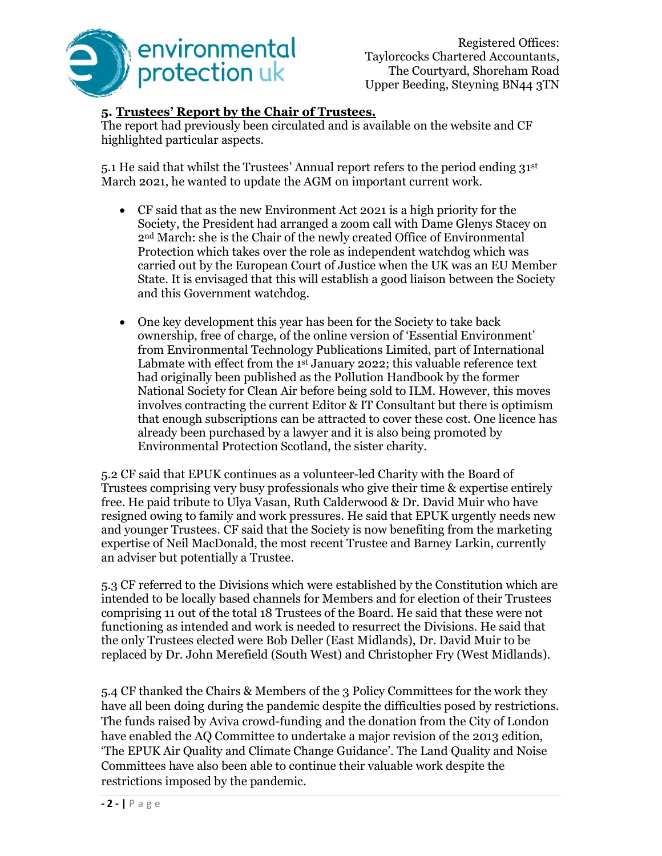

# 5. Trustees' Report by the Chair of Trustees.

The report had previously been circulated and is available on the website and CF highlighted particular aspects.

5.1 He said that whilst the Trustees' Annual report refers to the period ending  $31<sup>st</sup>$ March 2021, he wanted to update the AGM on important current work.

- CF said that as the new Environment Act 2021 is a high priority for the Society, the President had arranged a zoom call with Dame Glenys Stacey on 2nd March: she is the Chair of the newly created Office of Environmental Protection which takes over the role as independent watchdog which was carried out by the European Court of Justice when the UK was an EU Member State. It is envisaged that this will establish a good liaison between the Society and this Government watchdog.
- One key development this year has been for the Society to take back ownership, free of charge, of the online version of 'Essential Environment' from Environmental Technology Publications Limited, part of International Labmate with effect from the 1st January 2022; this valuable reference text had originally been published as the Pollution Handbook by the former National Society for Clean Air before being sold to ILM. However, this moves involves contracting the current Editor & IT Consultant but there is optimism that enough subscriptions can be attracted to cover these cost. One licence has already been purchased by a lawyer and it is also being promoted by Environmental Protection Scotland, the sister charity.

5.2 CF said that EPUK continues as a volunteer-led Charity with the Board of Trustees comprising very busy professionals who give their time & expertise entirely free. He paid tribute to Ulya Vasan, Ruth Calderwood & Dr. David Muir who have resigned owing to family and work pressures. He said that EPUK urgently needs new and younger Trustees. CF said that the Society is now benefiting from the marketing expertise of Neil MacDonald, the most recent Trustee and Barney Larkin, currently an adviser but potentially a Trustee.

5.3 CF referred to the Divisions which were established by the Constitution which are intended to be locally based channels for Members and for election of their Trustees comprising 11 out of the total 18 Trustees of the Board. He said that these were not functioning as intended and work is needed to resurrect the Divisions. He said that the only Trustees elected were Bob Deller (East Midlands), Dr. David Muir to be replaced by Dr. John Merefield (South West) and Christopher Fry (West Midlands).

5.4 CF thanked the Chairs & Members of the 3 Policy Committees for the work they have all been doing during the pandemic despite the difficulties posed by restrictions. The funds raised by Aviva crowd-funding and the donation from the City of London have enabled the AQ Committee to undertake a major revision of the 2013 edition, 'The EPUK Air Quality and Climate Change Guidance'. The Land Quality and Noise Committees have also been able to continue their valuable work despite the restrictions imposed by the pandemic.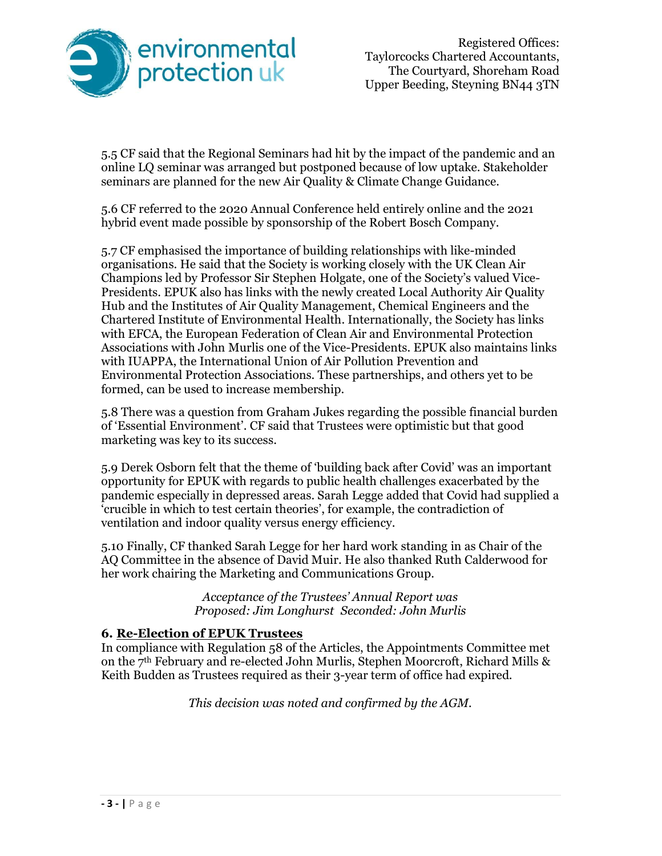

5.5 CF said that the Regional Seminars had hit by the impact of the pandemic and an online LQ seminar was arranged but postponed because of low uptake. Stakeholder seminars are planned for the new Air Quality & Climate Change Guidance.

5.6 CF referred to the 2020 Annual Conference held entirely online and the 2021 hybrid event made possible by sponsorship of the Robert Bosch Company.

5.7 CF emphasised the importance of building relationships with like-minded organisations. He said that the Society is working closely with the UK Clean Air Champions led by Professor Sir Stephen Holgate, one of the Society's valued Vice-Presidents. EPUK also has links with the newly created Local Authority Air Quality Hub and the Institutes of Air Quality Management, Chemical Engineers and the Chartered Institute of Environmental Health. Internationally, the Society has links with EFCA, the European Federation of Clean Air and Environmental Protection Associations with John Murlis one of the Vice-Presidents. EPUK also maintains links with IUAPPA, the International Union of Air Pollution Prevention and Environmental Protection Associations. These partnerships, and others yet to be formed, can be used to increase membership.

5.8 There was a question from Graham Jukes regarding the possible financial burden of 'Essential Environment'. CF said that Trustees were optimistic but that good marketing was key to its success.

5.9 Derek Osborn felt that the theme of 'building back after Covid' was an important opportunity for EPUK with regards to public health challenges exacerbated by the pandemic especially in depressed areas. Sarah Legge added that Covid had supplied a 'crucible in which to test certain theories', for example, the contradiction of ventilation and indoor quality versus energy efficiency.

5.10 Finally, CF thanked Sarah Legge for her hard work standing in as Chair of the AQ Committee in the absence of David Muir. He also thanked Ruth Calderwood for her work chairing the Marketing and Communications Group.

> Acceptance of the Trustees' Annual Report was Proposed: Jim Longhurst Seconded: John Murlis

# 6. Re-Election of EPUK Trustees

In compliance with Regulation 58 of the Articles, the Appointments Committee met on the 7th February and re-elected John Murlis, Stephen Moorcroft, Richard Mills & Keith Budden as Trustees required as their 3-year term of office had expired.

This decision was noted and confirmed by the AGM.